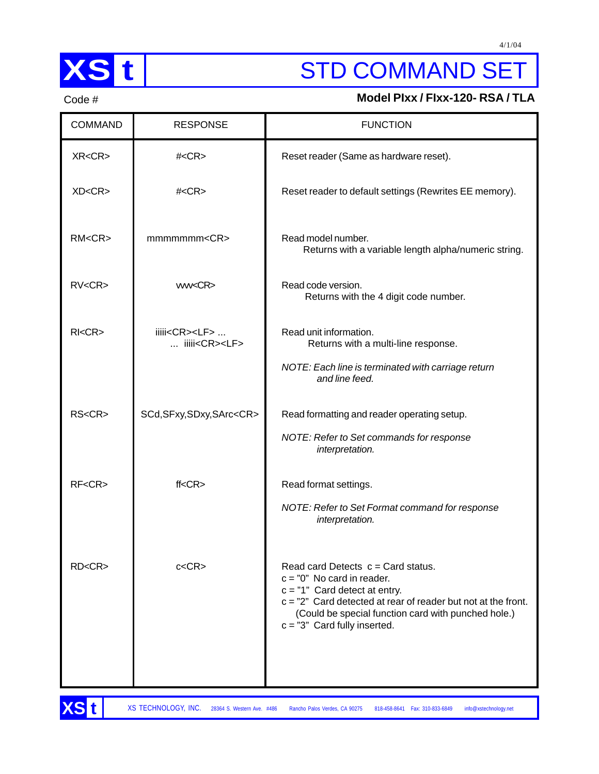

# **XS t** STD COMMAND SET

## Code # **Model PIxx / FIxx-120- RSA / TLA**

| <b>COMMAND</b>   | <b>RESPONSE</b>                                        | <b>FUNCTION</b>                                                                                                                                                                                                                                                     |
|------------------|--------------------------------------------------------|---------------------------------------------------------------------------------------------------------------------------------------------------------------------------------------------------------------------------------------------------------------------|
| XR < CR          | $#<$ CR $>$                                            | Reset reader (Same as hardware reset).                                                                                                                                                                                                                              |
| XD < CR          | $#<$ CR $>$                                            | Reset reader to default settings (Rewrites EE memory).                                                                                                                                                                                                              |
| RM < CR          | mmmmmm <cr></cr>                                       | Read model number.<br>Returns with a variable length alpha/numeric string.                                                                                                                                                                                          |
| RV < CR          | ww <cr></cr>                                           | Read code version.<br>Returns with the 4 digit code number.                                                                                                                                                                                                         |
| $R$ $<$ $CR$ $>$ | iiiii <cr><lf> <br/> iiiii<cr><lf></lf></cr></lf></cr> | Read unit information.<br>Returns with a multi-line response.<br>NOTE: Each line is terminated with carriage return<br>and line feed.                                                                                                                               |
| RS <cr></cr>     | SCd, SFxy, SDxy, SArc <cr></cr>                        | Read formatting and reader operating setup.<br>NOTE: Refer to Set commands for response<br>interpretation.                                                                                                                                                          |
| $RF <$ CR $>$    | ff < CR                                                | Read format settings.<br>NOTE: Refer to Set Format command for response<br>interpretation.                                                                                                                                                                          |
| $R$ D< $CR$ >    | c < CR                                                 | Read card Detects $c = Card$ status.<br>$c = "0"$ No card in reader.<br>$c = "1"$ Card detect at entry.<br>$c = "2"$ Card detected at rear of reader but not at the front.<br>(Could be special function card with punched hole.)<br>$c = "3"$ Card fully inserted. |

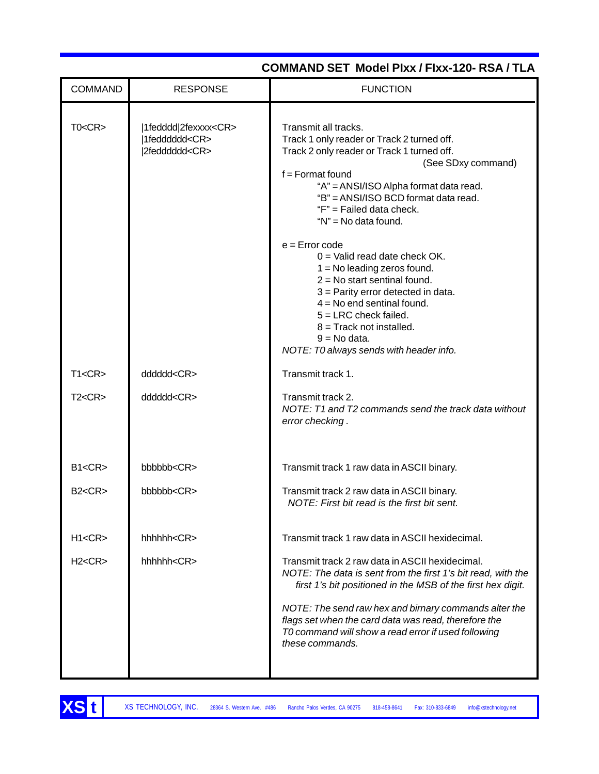| <b>COMMAND</b> | <b>RESPONSE</b>                                                           | <b>FUNCTION</b>                                                                                                                                                                                                                                                                                                                                                                                                                                                                                                                                                                                                            |
|----------------|---------------------------------------------------------------------------|----------------------------------------------------------------------------------------------------------------------------------------------------------------------------------------------------------------------------------------------------------------------------------------------------------------------------------------------------------------------------------------------------------------------------------------------------------------------------------------------------------------------------------------------------------------------------------------------------------------------------|
| TO < CR        | 1fedddd 2fexxxx <cr><br/> 1fedddddd<cr><br/> 2fedddddd<cr></cr></cr></cr> | Transmit all tracks.<br>Track 1 only reader or Track 2 turned off.<br>Track 2 only reader or Track 1 turned off.<br>(See SDxy command)<br>$f =$ Format found<br>"A" = ANSI/ISO Alpha format data read.<br>"B" = ANSI/ISO BCD format data read.<br>"F" = Failed data check.<br>"N" = No data found.<br>$e =$ Error code<br>$0 =$ Valid read date check OK.<br>$1 = No$ leading zeros found.<br>$2 = No$ start sentinal found.<br>$3$ = Parity error detected in data.<br>$4 = No$ end sentinal found.<br>$5 = LRC$ check failed.<br>$8 =$ Track not installed.<br>$9 = No data.$<br>NOTE: T0 always sends with header info. |
| T1 < CR        | dddddd <cr></cr>                                                          | Transmit track 1.                                                                                                                                                                                                                                                                                                                                                                                                                                                                                                                                                                                                          |
| T2 < CR        | dddddd <cr></cr>                                                          | Transmit track 2.<br>NOTE: T1 and T2 commands send the track data without<br>error checking.                                                                                                                                                                                                                                                                                                                                                                                                                                                                                                                               |
| B1 < CR        | bbbbbb <cr></cr>                                                          | Transmit track 1 raw data in ASCII binary.                                                                                                                                                                                                                                                                                                                                                                                                                                                                                                                                                                                 |
| B2 < CR        | bbbbbb <cr></cr>                                                          | Transmit track 2 raw data in ASCII binary.<br>NOTE: First bit read is the first bit sent.                                                                                                                                                                                                                                                                                                                                                                                                                                                                                                                                  |
| H1 < CR        | hhhhhk <cr></cr>                                                          | Transmit track 1 raw data in ASCII hexidecimal.                                                                                                                                                                                                                                                                                                                                                                                                                                                                                                                                                                            |
| H2 < CR        | $hhh$ hhhh $<$ $CR$                                                       | Transmit track 2 raw data in ASCII hexidecimal.<br>NOTE: The data is sent from the first 1's bit read, with the<br>first 1's bit positioned in the MSB of the first hex digit.<br>NOTE: The send raw hex and birnary commands alter the<br>flags set when the card data was read, therefore the<br>T0 command will show a read error if used following<br>these commands.                                                                                                                                                                                                                                                  |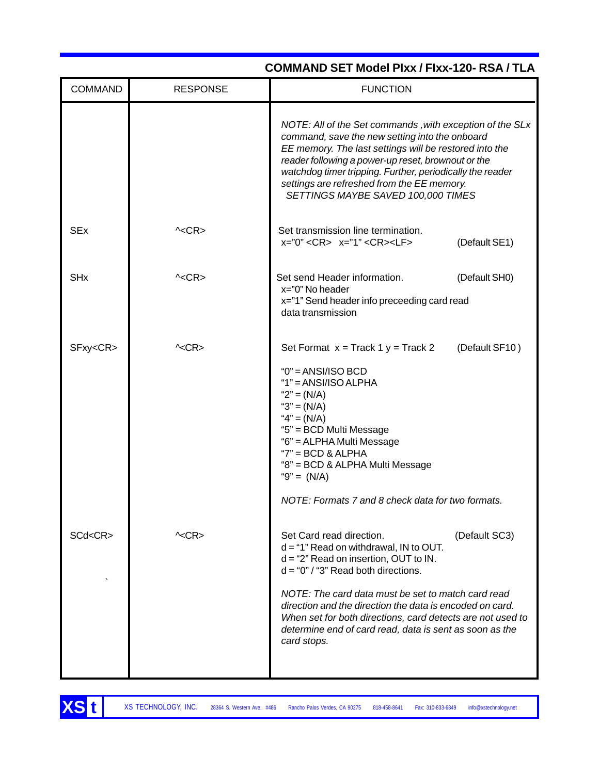|                       |                 | COMMAND SET Model PIxx / FIxx-120- RSA / TLA                                                                                                                                                                                                                                                                                                                                                                                        |
|-----------------------|-----------------|-------------------------------------------------------------------------------------------------------------------------------------------------------------------------------------------------------------------------------------------------------------------------------------------------------------------------------------------------------------------------------------------------------------------------------------|
| <b>COMMAND</b>        | <b>RESPONSE</b> | <b>FUNCTION</b>                                                                                                                                                                                                                                                                                                                                                                                                                     |
|                       |                 | NOTE: All of the Set commands, with exception of the SLx<br>command, save the new setting into the onboard<br>EE memory. The last settings will be restored into the<br>reader following a power-up reset, brownout or the<br>watchdog timer tripping. Further, periodically the reader<br>settings are refreshed from the EE memory.<br>SETTINGS MAYBE SAVED 100,000 TIMES                                                         |
| <b>SEx</b>            | $\sim$ CR $>$   | Set transmission line termination.<br>$x = "0" < CR$ > $x = "1" < CR$ > <lf><br/>(Default SE1)</lf>                                                                                                                                                                                                                                                                                                                                 |
| <b>SH<sub>x</sub></b> | $\sim$ CR $>$   | Set send Header information.<br>(Default SH0)<br>x="0" No header<br>x="1" Send header info preceeding card read<br>data transmission                                                                                                                                                                                                                                                                                                |
| SFxy <cr></cr>        | $\sim$ CR>      | Set Format $x =$ Track 1 $y =$ Track 2<br>(Default SF10)<br>$"0" = ANSI/ISO BCD$<br>$"1" = ANSI/ISO ALPHA$<br>" $2" = (N/A)$<br>" $3" = (N/A)$<br>" $4" = (N/A)$<br>"5" = BCD Multi Message<br>"6" = ALPHA Multi Message<br>$"7" = BCD & ALPHA$<br>"8" = BCD & ALPHA Multi Message<br>"9" = $(N/A)$<br>NOTE: Formats 7 and 8 check data for two formats.                                                                            |
| SCd <cr></cr>         | ^ <cr></cr>     | Set Card read direction.<br>(Default SC3)<br>$d = "1"$ Read on withdrawal, IN to OUT.<br>$d = 2$ " Read on insertion, OUT to IN.<br>$d = "0" / "3"$ Read both directions.<br>NOTE: The card data must be set to match card read<br>direction and the direction the data is encoded on card.<br>When set for both directions, card detects are not used to<br>determine end of card read, data is sent as soon as the<br>card stops. |

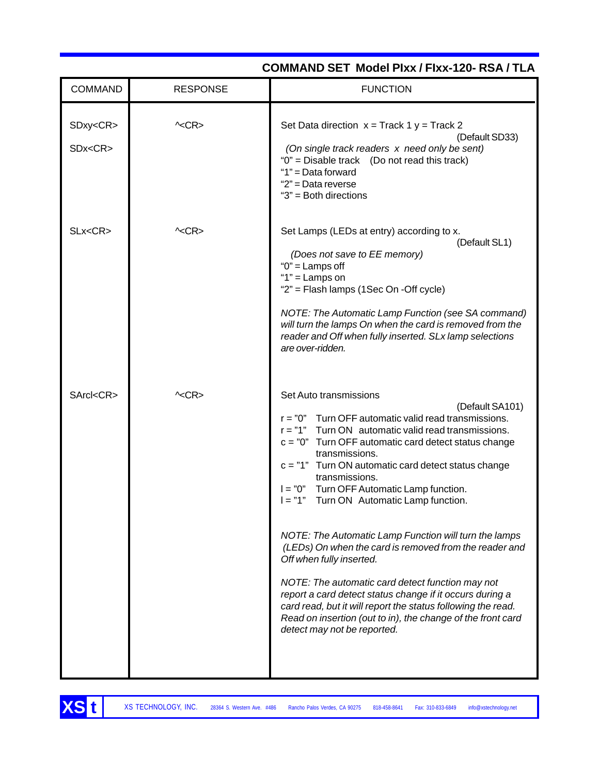| <b>COMMAND</b>                  | <b>RESPONSE</b> | <b>FUNCTION</b>                                                                                                                                                                                                                                                                                                                                                                                                                                                                                                                                                                                                                                                                                                                                                                                                                                           |
|---------------------------------|-----------------|-----------------------------------------------------------------------------------------------------------------------------------------------------------------------------------------------------------------------------------------------------------------------------------------------------------------------------------------------------------------------------------------------------------------------------------------------------------------------------------------------------------------------------------------------------------------------------------------------------------------------------------------------------------------------------------------------------------------------------------------------------------------------------------------------------------------------------------------------------------|
| SDxy <cr><br/>SDx<cr></cr></cr> | $\sim$ CR>      | Set Data direction $x =$ Track 1 $y =$ Track 2<br>(Default SD33)<br>(On single track readers x need only be sent)<br>"0" = Disable track (Do not read this track)<br>"1" = Data forward<br>"2" = Data reverse<br>" $3"$ = Both directions                                                                                                                                                                                                                                                                                                                                                                                                                                                                                                                                                                                                                 |
| SLx <cr></cr>                   | $\sim$ CR>      | Set Lamps (LEDs at entry) according to x.<br>(Default SL1)<br>(Does not save to EE memory)<br>" $0$ " = Lamps off<br>" $1"$ = Lamps on<br>"2" = Flash lamps (1Sec On -Off cycle)<br>NOTE: The Automatic Lamp Function (see SA command)<br>will turn the lamps On when the card is removed from the<br>reader and Off when fully inserted. SLx lamp selections<br>are over-ridden.                                                                                                                                                                                                                                                                                                                                                                                                                                                                         |
| SArcl <cr></cr>                 | $\sim$ CR>      | Set Auto transmissions<br>(Default SA101)<br>$r = "0"$ Turn OFF automatic valid read transmissions.<br>$r = "1"$<br>Turn ON automatic valid read transmissions.<br>$c = "0"$ Turn OFF automatic card detect status change<br>transmissions.<br>$c = "1"$<br>Turn ON automatic card detect status change<br>transmissions.<br>Turn OFF Automatic Lamp function.<br>$I = "0"$<br>$I = "1"$<br>Turn ON Automatic Lamp function.<br>NOTE: The Automatic Lamp Function will turn the lamps<br>(LEDs) On when the card is removed from the reader and<br>Off when fully inserted.<br>NOTE: The automatic card detect function may not<br>report a card detect status change if it occurs during a<br>card read, but it will report the status following the read.<br>Read on insertion (out to in), the change of the front card<br>detect may not be reported. |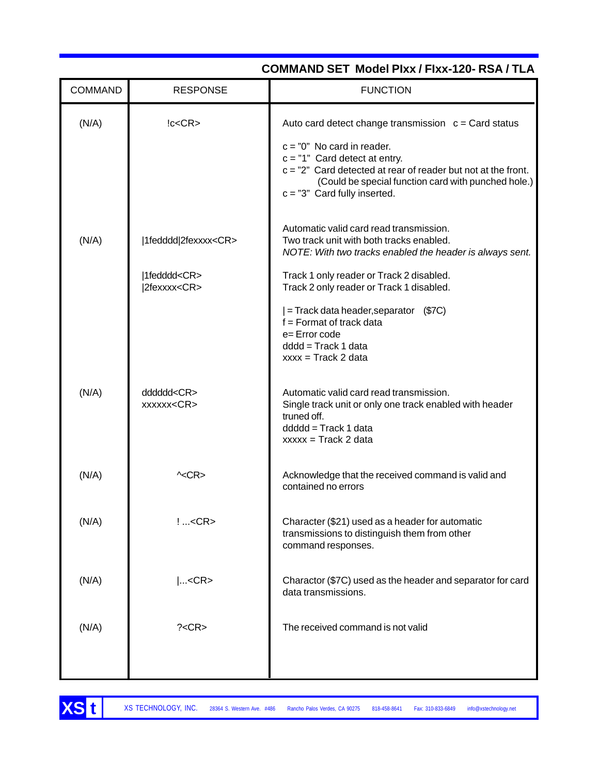| <b>COMMAND</b> | <b>RESPONSE</b>                                                      | <b>FUNCTION</b>                                                                                                                                                                                                                                                                       |
|----------------|----------------------------------------------------------------------|---------------------------------------------------------------------------------------------------------------------------------------------------------------------------------------------------------------------------------------------------------------------------------------|
| (N/A)          | lc < CR                                                              | Auto card detect change transmission $c = Card$ status<br>$c = "0"$ No card in reader.<br>$c = "1"$ Card detect at entry.<br>$c = "2"$ Card detected at rear of reader but not at the front.<br>(Could be special function card with punched hole.)<br>$c = "3"$ Card fully inserted. |
| (N/A)          | 1fedddd 2fexxxx <cr><br/>1fedddd<cr><br/> 2fexxxx<cr></cr></cr></cr> | Automatic valid card read transmission.<br>Two track unit with both tracks enabled.<br>NOTE: With two tracks enabled the header is always sent.<br>Track 1 only reader or Track 2 disabled.<br>Track 2 only reader or Track 1 disabled.                                               |
|                |                                                                      | $=$ Track data header, separator $(S7C)$<br>$f =$ Format of track data<br>e=Error code<br>$ddd = Track 1 data$<br>$xxxx = Trace R2 data$                                                                                                                                              |
| (N/A)          | dddddd <cr><br/>xxxxxx<cr></cr></cr>                                 | Automatic valid card read transmission.<br>Single track unit or only one track enabled with header<br>truned off.<br>$dddd = Track 1 data$<br>$xxxx = \text{Track } 2 \text{ data}$                                                                                                   |
| (N/A)          | $\sim$ CR>                                                           | Acknowledge that the received command is valid and<br>contained no errors                                                                                                                                                                                                             |
| (N/A)          | $!<$ CR>                                                             | Character (\$21) used as a header for automatic<br>transmissions to distinguish them from other<br>command responses.                                                                                                                                                                 |
| (N/A)          | $ <$ CR>                                                             | Charactor (\$7C) used as the header and separator for card<br>data transmissions.                                                                                                                                                                                                     |
| (N/A)          | ? < CR                                                               | The received command is not valid                                                                                                                                                                                                                                                     |